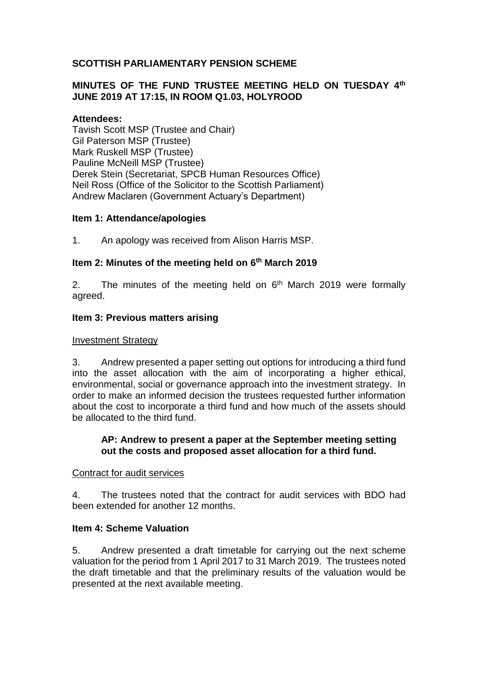## **SCOTTISH PARLIAMENTARY PENSION SCHEME**

### **MINUTES OF THE FUND TRUSTEE MEETING HELD ON TUESDAY 4th JUNE 2019 AT 17:15, IN ROOM Q1.03, HOLYROOD**

### **Attendees:**

Tavish Scott MSP (Trustee and Chair) Gil Paterson MSP (Trustee) Mark Ruskell MSP (Trustee) Pauline McNeill MSP (Trustee) Derek Stein (Secretariat, SPCB Human Resources Office) Neil Ross (Office of the Solicitor to the Scottish Parliament) Andrew Maclaren (Government Actuary's Department)

#### **Item 1: Attendance/apologies**

1. An apology was received from Alison Harris MSP.

## **Item 2: Minutes of the meeting held on 6 th March 2019**

2. The minutes of the meeting held on  $6<sup>th</sup>$  March 2019 were formally agreed.

#### **Item 3: Previous matters arising**

#### Investment Strategy

3. Andrew presented a paper setting out options for introducing a third fund into the asset allocation with the aim of incorporating a higher ethical, environmental, social or governance approach into the investment strategy. In order to make an informed decision the trustees requested further information about the cost to incorporate a third fund and how much of the assets should be allocated to the third fund.

#### **AP: Andrew to present a paper at the September meeting setting out the costs and proposed asset allocation for a third fund.**

#### Contract for audit services

4. The trustees noted that the contract for audit services with BDO had been extended for another 12 months.

#### **Item 4: Scheme Valuation**

5. Andrew presented a draft timetable for carrying out the next scheme valuation for the period from 1 April 2017 to 31 March 2019. The trustees noted the draft timetable and that the preliminary results of the valuation would be presented at the next available meeting.